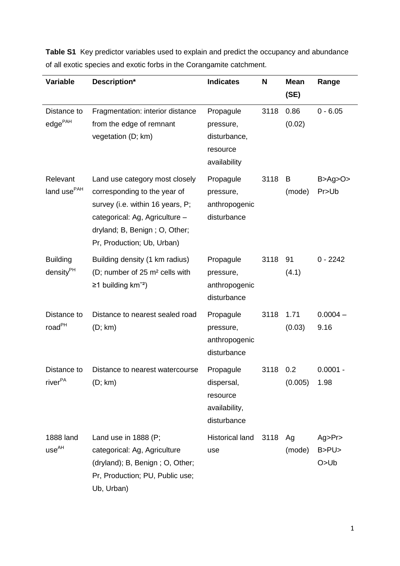| <b>Variable</b>                          | Description*                                                                                                                                                                                        | <b>Indicates</b>                                                    | N    | <b>Mean</b><br>(SE) | Range                    |
|------------------------------------------|-----------------------------------------------------------------------------------------------------------------------------------------------------------------------------------------------------|---------------------------------------------------------------------|------|---------------------|--------------------------|
| Distance to<br>$edge^{\text{PAH}}$       | Fragmentation: interior distance<br>from the edge of remnant<br>vegetation (D; km)                                                                                                                  | Propagule<br>pressure,<br>disturbance,<br>resource<br>availability  | 3118 | 0.86<br>(0.02)      | $0 - 6.05$               |
| Relevant<br>land use <sup>PAH</sup>      | Land use category most closely<br>corresponding to the year of<br>survey (i.e. within 16 years, P;<br>categorical: Ag, Agriculture -<br>dryland; B, Benign; O, Other;<br>Pr, Production; Ub, Urban) | Propagule<br>pressure,<br>anthropogenic<br>disturbance              | 3118 | B<br>(mode)         | B > Ag > O ><br>Pr>Ub    |
| <b>Building</b><br>density <sup>PH</sup> | Building density (1 km radius)<br>(D; number of 25 m <sup>2</sup> cells with<br>$≥1$ building km <sup>-2</sup> )                                                                                    | Propagule<br>pressure,<br>anthropogenic<br>disturbance              | 3118 | 91<br>(4.1)         | $0 - 2242$               |
| Distance to<br>road <sup>PH</sup>        | Distance to nearest sealed road<br>(D; km)                                                                                                                                                          | Propagule<br>pressure,<br>anthropogenic<br>disturbance              | 3118 | 1.71<br>(0.03)      | $0.0004 -$<br>9.16       |
| Distance to<br>river <sup>PA</sup>       | Distance to nearest watercourse<br>(D; km)                                                                                                                                                          | Propagule<br>dispersal,<br>resource<br>availability,<br>disturbance | 3118 | 0.2<br>(0.005)      | $0.0001 -$<br>1.98       |
| 1888 land<br>use <sup>AH</sup>           | Land use in $1888$ (P;<br>categorical: Ag, Agriculture<br>(dryland); B, Benign; O, Other;<br>Pr, Production; PU, Public use;<br>Ub, Urban)                                                          | <b>Historical land</b><br>use                                       | 3118 | Ag<br>(mode)        | Ag>Pr<br>B>PU><br>O > Ub |

**Table S1** Key predictor variables used to explain and predict the occupancy and abundance of all exotic species and exotic forbs in the Corangamite catchment.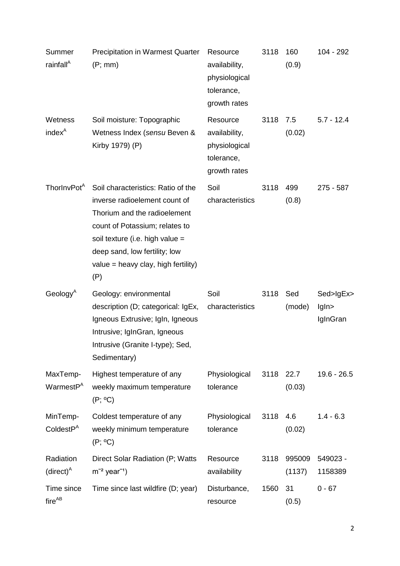| Summer<br>rainfall <sup>A</sup>   | <b>Precipitation in Warmest Quarter</b><br>(P; mm)                                                                                                                                                                                                      | Resource<br>availability,<br>physiological<br>tolerance,<br>growth rates | 3118 | 160<br>(0.9)     | 104 - 292                      |
|-----------------------------------|---------------------------------------------------------------------------------------------------------------------------------------------------------------------------------------------------------------------------------------------------------|--------------------------------------------------------------------------|------|------------------|--------------------------------|
| Wetness<br>index <sup>A</sup>     | Soil moisture: Topographic<br>Wetness Index (sensu Beven &<br>Kirby 1979) (P)                                                                                                                                                                           | Resource<br>availability,<br>physiological<br>tolerance,<br>growth rates | 3118 | 7.5<br>(0.02)    | $5.7 - 12.4$                   |
| ThorlnvPot <sup>A</sup>           | Soil characteristics: Ratio of the<br>inverse radioelement count of<br>Thorium and the radioelement<br>count of Potassium; relates to<br>soil texture (i.e. high value =<br>deep sand, low fertility; low<br>value = heavy clay, high fertility)<br>(P) | Soil<br>characteristics                                                  | 3118 | 499<br>(0.8)     | 275 - 587                      |
| Geology $^A$                      | Geology: environmental<br>description (D; categorical: IgEx,<br>Igneous Extrusive; IgIn, Igneous<br>Intrusive; IgInGran, Igneous<br>Intrusive (Granite I-type); Sed,<br>Sedimentary)                                                                    | Soil<br>characteristics                                                  | 3118 | Sed<br>(mode)    | Sed>IgEx><br>lgln><br>IgInGran |
| MaxTemp-<br>WarmestP <sup>A</sup> | Highest temperature of any<br>weekly maximum temperature<br>$(P; {}^oC)$                                                                                                                                                                                | Physiological<br>tolerance                                               | 3118 | 22.7<br>(0.03)   | $19.6 - 26.5$                  |
| MinTemp-<br>CollectP <sup>A</sup> | Coldest temperature of any<br>weekly minimum temperature<br>$(P; {}^oC)$                                                                                                                                                                                | Physiological<br>tolerance                                               | 3118 | 4.6<br>(0.02)    | $1.4 - 6.3$                    |
| Radiation<br>$(direct)^A$         | Direct Solar Radiation (P; Watts<br>$m^{-2}$ year <sup>-1</sup> )                                                                                                                                                                                       | Resource<br>availability                                                 | 3118 | 995009<br>(1137) | 549023 -<br>1158389            |
| Time since<br>fireAB              | Time since last wildfire (D; year)                                                                                                                                                                                                                      | Disturbance,<br>resource                                                 | 1560 | 31<br>(0.5)      | $0 - 67$                       |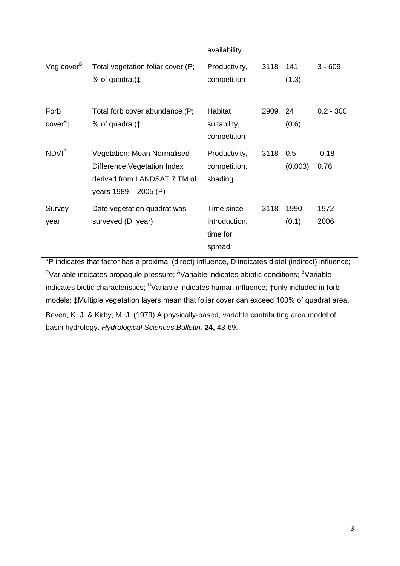|                              |                                                                                                                     | availability                                      |          |               |                   |
|------------------------------|---------------------------------------------------------------------------------------------------------------------|---------------------------------------------------|----------|---------------|-------------------|
| $V$ eg cover $B$             | Total vegetation foliar cover (P;<br>% of quadrat) <sup><math>\ddagger</math></sup>                                 | Productivity,<br>competition                      | 3118     | 141<br>(1.3)  | $3 - 609$         |
| Forb<br>cover <sup>B</sup> † | Total forb cover abundance (P;<br>% of quadrat) $\ddagger$                                                          | Habitat<br>suitability,<br>competition            | 2909     | 24<br>(0.6)   | $0.2 - 300$       |
| NDVI <sup>B</sup>            | Vegetation: Mean Normalised<br>Difference Vegetation Index<br>derived from LANDSAT 7 TM of<br>years 1989 – 2005 (P) | Productivity,<br>competition,<br>shading          | 3118 0.5 | (0.003)       | $-0.18 -$<br>0.76 |
| Survey<br>year               | Date vegetation quadrat was<br>surveyed (D; year)                                                                   | Time since<br>introduction,<br>time for<br>spread | 3118     | 1990<br>(0.1) | 1972 -<br>2006    |

\*P indicates that factor has a proximal (direct) influence, D indicates distal (indirect) influence; <sup>P</sup>Variable indicates propagule pressure; <sup>A</sup>Variable indicates abiotic conditions; <sup>B</sup>Variable indicates biotic characteristics; <sup>H</sup>Variable indicates human influence; †only included in forb models; ‡Multiple vegetation layers mean that foliar cover can exceed 100% of quadrat area. Beven, K. J. & Kirby, M. J. (1979) A physically-based, variable contributing area model of basin hydrology. *Hydrological Sciences Bulletin,* **24,** 43-69.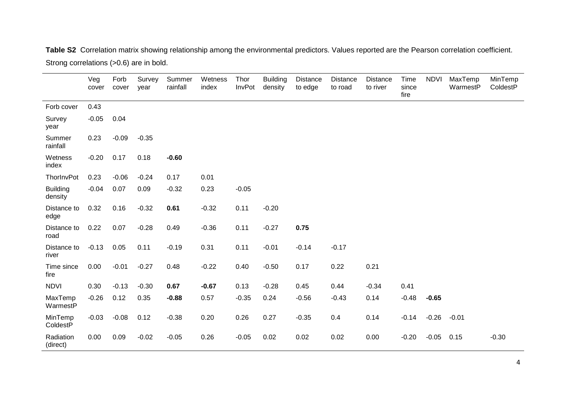**Table S2** Correlation matrix showing relationship among the environmental predictors. Values reported are the Pearson correlation coefficient. Strong correlations (>0.6) are in bold.

|                            | Veg<br>cover | Forb<br>cover | Survey<br>year | Summer<br>rainfall | Wetness<br>index | Thor<br>InvPot | <b>Building</b><br>density | <b>Distance</b><br>to edge | <b>Distance</b><br>to road | <b>Distance</b><br>to river | Time<br>since<br>fire | <b>NDVI</b> | MaxTemp<br>WarmestP | MinTemp<br>ColdestP |
|----------------------------|--------------|---------------|----------------|--------------------|------------------|----------------|----------------------------|----------------------------|----------------------------|-----------------------------|-----------------------|-------------|---------------------|---------------------|
| Forb cover                 | 0.43         |               |                |                    |                  |                |                            |                            |                            |                             |                       |             |                     |                     |
| Survey<br>year             | $-0.05$      | 0.04          |                |                    |                  |                |                            |                            |                            |                             |                       |             |                     |                     |
| Summer<br>rainfall         | 0.23         | $-0.09$       | $-0.35$        |                    |                  |                |                            |                            |                            |                             |                       |             |                     |                     |
| Wetness<br>index           | $-0.20$      | 0.17          | 0.18           | $-0.60$            |                  |                |                            |                            |                            |                             |                       |             |                     |                     |
| ThorlnvPot                 | 0.23         | $-0.06$       | $-0.24$        | 0.17               | 0.01             |                |                            |                            |                            |                             |                       |             |                     |                     |
| <b>Building</b><br>density | $-0.04$      | 0.07          | 0.09           | $-0.32$            | 0.23             | $-0.05$        |                            |                            |                            |                             |                       |             |                     |                     |
| Distance to<br>edge        | 0.32         | 0.16          | $-0.32$        | 0.61               | $-0.32$          | 0.11           | $-0.20$                    |                            |                            |                             |                       |             |                     |                     |
| Distance to<br>road        | 0.22         | 0.07          | $-0.28$        | 0.49               | $-0.36$          | 0.11           | $-0.27$                    | 0.75                       |                            |                             |                       |             |                     |                     |
| Distance to<br>river       | $-0.13$      | 0.05          | 0.11           | $-0.19$            | 0.31             | 0.11           | $-0.01$                    | $-0.14$                    | $-0.17$                    |                             |                       |             |                     |                     |
| Time since<br>fire         | 0.00         | $-0.01$       | $-0.27$        | 0.48               | $-0.22$          | 0.40           | $-0.50$                    | 0.17                       | 0.22                       | 0.21                        |                       |             |                     |                     |
| <b>NDVI</b>                | 0.30         | $-0.13$       | $-0.30$        | 0.67               | $-0.67$          | 0.13           | $-0.28$                    | 0.45                       | 0.44                       | $-0.34$                     | 0.41                  |             |                     |                     |
| MaxTemp<br>WarmestP        | $-0.26$      | 0.12          | 0.35           | $-0.88$            | 0.57             | $-0.35$        | 0.24                       | $-0.56$                    | $-0.43$                    | 0.14                        | $-0.48$               | $-0.65$     |                     |                     |
| MinTemp<br>ColdestP        | $-0.03$      | $-0.08$       | 0.12           | $-0.38$            | 0.20             | 0.26           | 0.27                       | $-0.35$                    | 0.4                        | 0.14                        | $-0.14$               | $-0.26$     | $-0.01$             |                     |
| Radiation<br>(direct)      | 0.00         | 0.09          | $-0.02$        | $-0.05$            | 0.26             | $-0.05$        | 0.02                       | 0.02                       | 0.02                       | 0.00                        | $-0.20$               | $-0.05$     | 0.15                | $-0.30$             |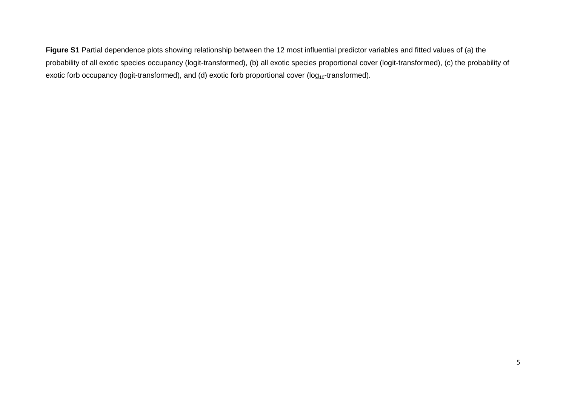**Figure S1** Partial dependence plots showing relationship between the 12 most influential predictor variables and fitted values of (a) the probability of all exotic species occupancy (logit-transformed), (b) all exotic species proportional cover (logit-transformed), (c) the probability of exotic forb occupancy (logit-transformed), and (d) exotic forb proportional cover (log<sub>10</sub>-transformed).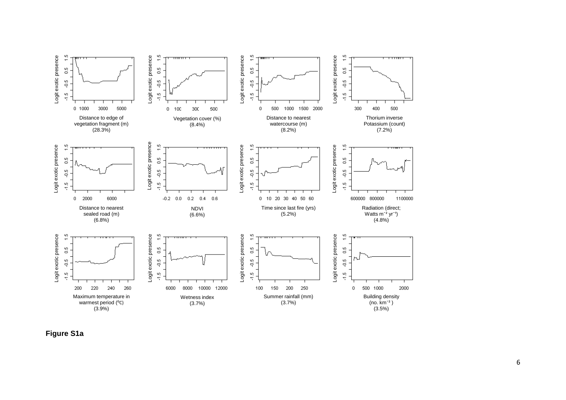

**Figure S1a**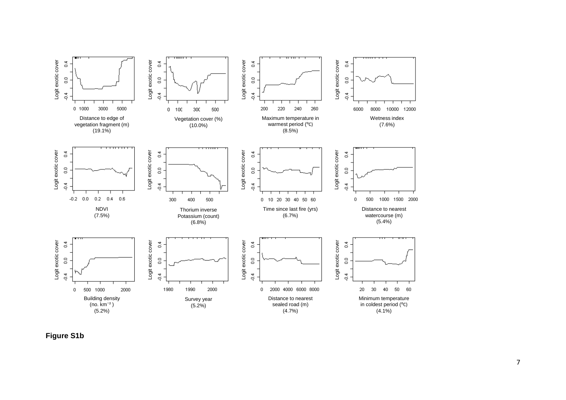

**Figure S1b**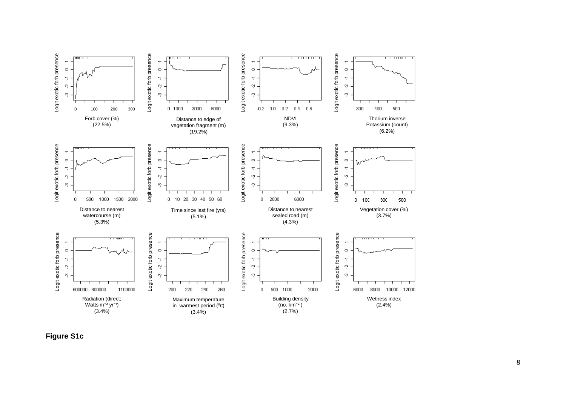

**Figure S1c**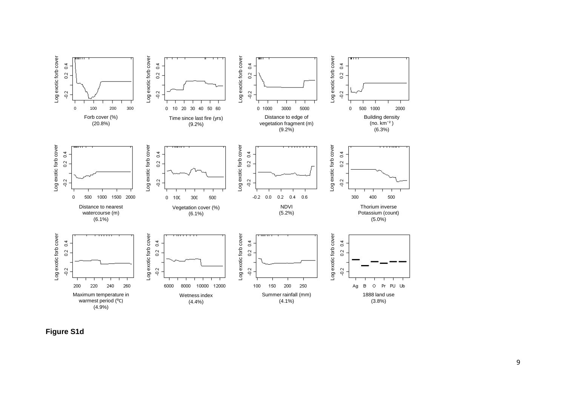

**Figure S1d**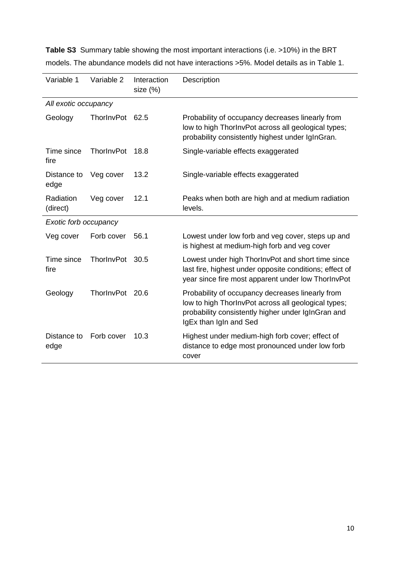| Variable 1            | Variable 2 | Interaction<br>size (%) | Description                                                                                                                                                                             |  |  |  |
|-----------------------|------------|-------------------------|-----------------------------------------------------------------------------------------------------------------------------------------------------------------------------------------|--|--|--|
| All exotic occupancy  |            |                         |                                                                                                                                                                                         |  |  |  |
| Geology               | ThorlnvPot | 62.5                    | Probability of occupancy decreases linearly from<br>low to high ThorInvPot across all geological types;<br>probability consistently highest under IgInGran.                             |  |  |  |
| Time since<br>fire    | ThorlnvPot | 18.8                    | Single-variable effects exaggerated                                                                                                                                                     |  |  |  |
| Distance to<br>edge   | Veg cover  | 13.2                    | Single-variable effects exaggerated                                                                                                                                                     |  |  |  |
| Radiation<br>(direct) | Veg cover  | 12.1                    | Peaks when both are high and at medium radiation<br>levels.                                                                                                                             |  |  |  |
| Exotic forb occupancy |            |                         |                                                                                                                                                                                         |  |  |  |
| Veg cover             | Forb cover | 56.1                    | Lowest under low forb and veg cover, steps up and<br>is highest at medium-high forb and veg cover                                                                                       |  |  |  |
| Time since<br>fire    | ThorInvPot | 30.5                    | Lowest under high ThorlnvPot and short time since<br>last fire, highest under opposite conditions; effect of<br>year since fire most apparent under low ThorInvPot                      |  |  |  |
| Geology               | ThorInvPot | 20.6                    | Probability of occupancy decreases linearly from<br>low to high ThorInvPot across all geological types;<br>probability consistently higher under IgInGran and<br>IgEx than IgIn and Sed |  |  |  |
| Distance to<br>edge   | Forb cover | 10.3                    | Highest under medium-high forb cover; effect of<br>distance to edge most pronounced under low forb<br>cover                                                                             |  |  |  |

**Table S3** Summary table showing the most important interactions (i.e. >10%) in the BRT models. The abundance models did not have interactions >5%. Model details as in Table 1.